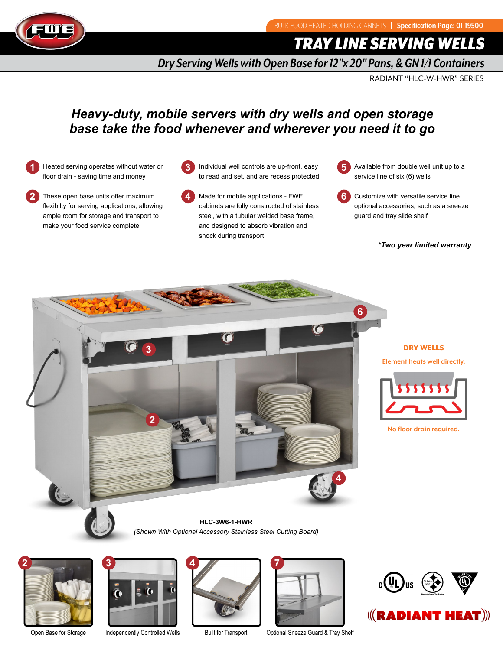

*TRAY LINE SERVING WELLS*

*Dry Serving Wells with Open Base for 12"x 20" Pans, & GN 1/1 Containers*

RADIANT "HLC-W-HWR" SERIES

# *Heavy-duty, mobile servers with dry wells and open storage base take the food whenever and wherever you need it to go*

- **1** Heated serving operates without water or floor drain - saving time and money
- **2** These open base units offer maximum flexibilty for serving applications, allowing ample room for storage and transport to make your food service complete
- **3** Individual well controls are up-front, easy to read and set, and are recess protected
- **4** Made for mobile applications - FWE cabinets are fully constructed of stainless steel, with a tubular welded base frame, and designed to absorb vibration and shock during transport



**6** Customize with versatile service line optional accessories, such as a sneeze guard and tray slide shelf

### *\*Two year limited warranty*



## DRY WELLS

**Element heats well directly.**



**No floor drain required.**

*(Shown With Optional Accessory Stainless Steel Cutting Board)* **HLC-3W6-1-HWR**









Open Base for Storage Independently Controlled Wells Built for Transport Optional Sneeze Guard & Tray Shelf